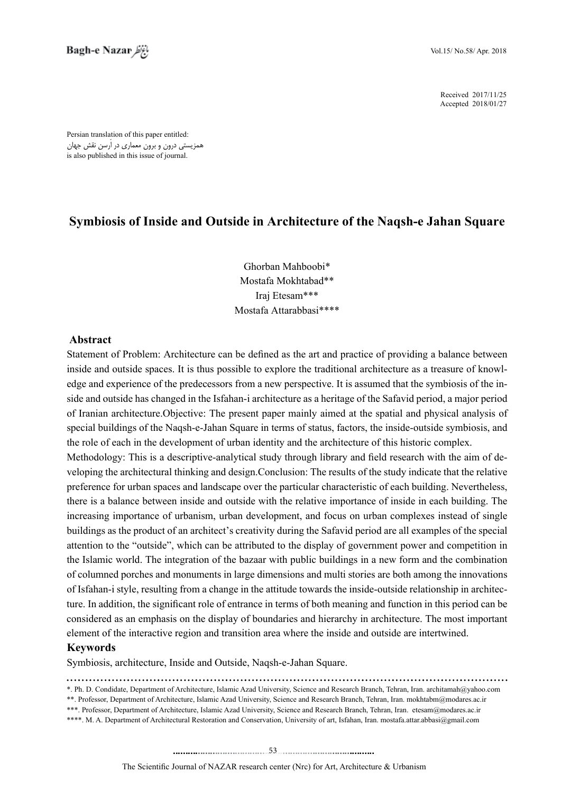2017/11/25 Received 2018/01/27 Accepted

Persian translation of this paper entitled: همزیستی درون و برون معماری در اَرسن نقش جهان is also published in this issue of journal.

# **Symbiosis of Inside and Outside in Architecture of the Naqsh-e Jahan Square**

Ghorban Mahboobi\* Mostafa Mokhtabad\*\* Irai Etesam\*\*\* Mostafa Attarabbasi\*\*\*\*

### **Abstract**

Statement of Problem: Architecture can be defined as the art and practice of providing a balance between side and outside has changed in the Isfahan-i architecture as a heritage of the Safavid period, a major period edge and experience of the predecessors from a new perspective. It is assumed that the symbiosis of the ininside and outside spaces. It is thus possible to explore the traditional architecture as a treasure of knowlof Iranian architecture. Objective: The present paper mainly aimed at the spatial and physical analysis of special buildings of the Naqsh-e-Jahan Square in terms of status, factors, the inside-outside symbiosis, and the role of each in the development of urban identity and the architecture of this historic complex.

veloping the architectural thinking and design. Conclusion: The results of the study indicate that the relative Methodology: This is a descriptive-analytical study through library and field research with the aim of depreference for urban spaces and landscape over the particular characteristic of each building. Nevertheless, there is a balance between inside and outside with the relative importance of inside in each building. The increasing importance of urbanism, urban development, and focus on urban complexes instead of single buildings as the product of an architect's creativity during the Safavid period are all examples of the special attention to the "outside", which can be attributed to the display of government power and competition in the Islamic world. The integration of the bazaar with public buildings in a new form and the combination of columned porches and monuments in large dimensions and multi stories are both among the innovations ture. In addition, the significant role of entrance in terms of both meaning and function in this period can be of Isfahan-i style, resulting from a change in the attitude towards the inside-outside relationship in architecconsidered as an emphasis on the display of boundaries and hierarchy in architecture. The most important element of the interactive region and transition area where the inside and outside are intertwined.

#### **Keywords**

Symbiosis, architecture, Inside and Outside, Naqsh-e-Jahan Square.

- \*. Ph. D. Condidate, Department of Architecture, Islamic Azad University, Science and Research Branch, Tehran, Iran, architamah@yahoo.com \*\*. Professor, Department of Architecture, Islamic Azad University, Science and Research Branch, Tehran, Iran. mokhtabm@modares.ac.ir
- \*\*\*. Professor, Department of Architecture, Islamic Azad University, Science and Research Branch, Tehran, Iran. etesam@modares.ac.ir
- \*\*\*\*. M. A. Department of Architectural Restoration and Conservation, University of art, Isfahan, Iran. mostafa.attar.abbasi@gmail.com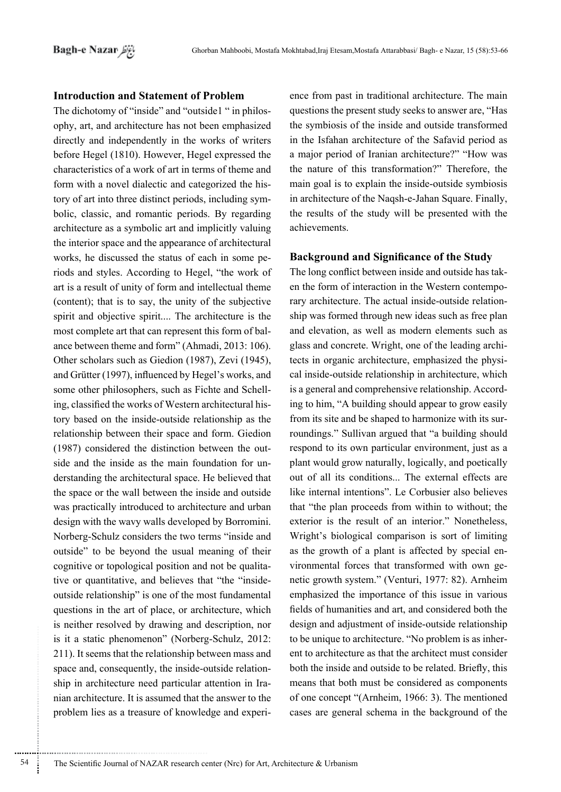### **Introduction and Statement of Problem**

The dichotomy of "inside" and "outside1 " in philosophy, art, and architecture has not been emphasized directly and independently in the works of writers before Hegel (1810). However, Hegel expressed the characteristics of a work of art in terms of theme and form with a novel dialectic and categorized the history of art into three distinct periods, including symbolic, classic, and romantic periods. By regarding architecture as a symbolic art and implicitly valuing the interior space and the appearance of architectural works, he discussed the status of each in some periods and styles. According to Hegel, "the work of art is a result of unity of form and intellectual theme (content); that is to say, the unity of the subjective spirit and objective spirit.... The architecture is the most complete art that can represent this form of balance between theme and form" (Ahmadi, 2013: 106). Other scholars such as Giedion (1987), Zevi (1945), and Grütter (1997), influenced by Hegel's works, and some other philosophers, such as Fichte and Schelling, classified the works of Western architectural history based on the inside-outside relationship as the relationship between their space and form. Giedion (1987) considered the distinction between the outside and the inside as the main foundation for understanding the architectural space. He believed that the space or the wall between the inside and outside was practically introduced to architecture and urban design with the wavy walls developed by Borromini. Norberg-Schulz considers the two terms "inside and outside" to be beyond the usual meaning of their cognitive or topological position and not be qualitative or quantitative, and believes that "the "insideoutside relationship" is one of the most fundamental questions in the art of place, or architecture, which is neither resolved by drawing and description, nor is it a static phenomenon" (Norberg-Schulz, 2012: 211). It seems that the relationship between mass and space and, consequently, the inside-outside relationship in architecture need particular attention in Iranian architecture. It is assumed that the answer to the problem lies as a treasure of knowledge and experience from past in traditional architecture. The main questions the present study seeks to answer are. "Has the symbiosis of the inside and outside transformed in the Isfahan architecture of the Safavid period as a major period of Iranian architecture?" "How was the nature of this transformation?" Therefore, the main goal is to explain the inside-outside symbiosis in architecture of the Naqsh-e-Jahan Square. Finally, the results of the study will be presented with the achievements.

### **Background and Significance of the Study**

The long conflict between inside and outside has taken the form of interaction in the Western contemporary architecture. The actual inside-outside relationship was formed through new ideas such as free plan and elevation, as well as modern elements such as glass and concrete. Wright, one of the leading architects in organic architecture, emphasized the physical inside-outside relationship in architecture, which is a general and comprehensive relationship. According to him, "A building should appear to grow easily from its site and be shaped to harmonize with its surroundings." Sullivan argued that "a building should respond to its own particular environment, just as a plant would grow naturally, logically, and poetically out of all its conditions... The external effects are like internal intentions". Le Corbusier also believes that "the plan proceeds from within to without; the exterior is the result of an interior." Nonetheless, Wright's biological comparison is sort of limiting as the growth of a plant is affected by special environmental forces that transformed with own genetic growth system." (Venturi, 1977: 82). Arnheim emphasized the importance of this issue in various fields of humanities and art, and considered both the design and adjustment of inside-outside relationship to be unique to architecture. "No problem is as inherent to architecture as that the architect must consider both the inside and outside to be related. Briefly, this means that both must be considered as components of one concept "(Arnheim, 1966: 3). The mentioned cases are general schema in the background of the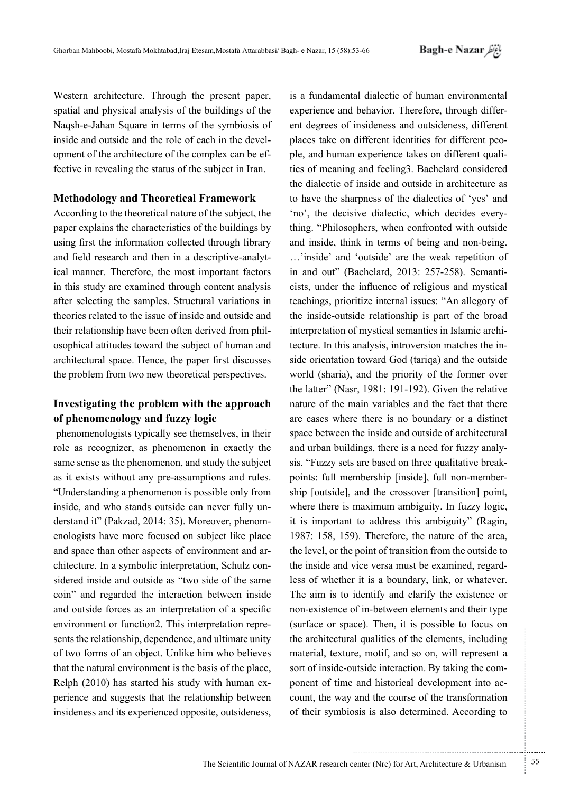Western architecture. Through the present paper, spatial and physical analysis of the buildings of the Naqsh-e-Jahan Square in terms of the symbiosis of inside and outside and the role of each in the development of the architecture of the complex can be effective in revealing the status of the subject in Iran.

### **Methodology and Theoretical Framework**

According to the theoretical nature of the subject, the paper explains the characteristics of the buildings by using first the information collected through library and field research and then in a descriptive-analytical manner. Therefore, the most important factors in this study are examined through content analysis after selecting the samples. Structural variations in theories related to the issue of inside and outside and their relationship have been often derived from philosophical attitudes toward the subject of human and architectural space. Hence, the paper first discusses the problem from two new theoretical perspectives.

## Investigating the problem with the approach of phenomenology and fuzzy logic

phenomenologists typically see themselves, in their role as recognizer, as phenomenon in exactly the same sense as the phenomenon, and study the subject as it exists without any pre-assumptions and rules. "Understanding a phenomenon is possible only from inside, and who stands outside can never fully understand it" (Pakzad, 2014: 35). Moreover, phenomenologists have more focused on subject like place and space than other aspects of environment and architecture. In a symbolic interpretation, Schulz considered inside and outside as "two side of the same coin" and regarded the interaction between inside and outside forces as an interpretation of a specific environment or function2. This interpretation represents the relationship, dependence, and ultimate unity of two forms of an object. Unlike him who believes that the natural environment is the basis of the place, Relph (2010) has started his study with human experience and suggests that the relationship between insideness and its experienced opposite, outsideness,

is a fundamental dialectic of human environmental experience and behavior. Therefore, through different degrees of insideness and outsideness, different places take on different identities for different people, and human experience takes on different qualities of meaning and feeling3. Bachelard considered the dialectic of inside and outside in architecture as to have the sharpness of the dialectics of 'yes' and 'no', the decisive dialectic, which decides everything. "Philosophers, when confronted with outside and inside, think in terms of being and non-being. ...'inside' and 'outside' are the weak repetition of in and out" (Bachelard, 2013: 257-258). Semanticists, under the influence of religious and mystical teachings, prioritize internal issues: "An allegory of the inside-outside relationship is part of the broad interpretation of mystical semantics in Islamic architecture. In this analysis, introversion matches the inside orientation toward God (tariqa) and the outside world (sharia), and the priority of the former over the latter" (Nasr, 1981: 191-192). Given the relative nature of the main variables and the fact that there are cases where there is no boundary or a distinct space between the inside and outside of architectural and urban buildings, there is a need for fuzzy analysis. "Fuzzy sets are based on three qualitative breakpoints: full membership [inside], full non-membership [outside], and the crossover [transition] point, where there is maximum ambiguity. In fuzzy logic, it is important to address this ambiguity" (Ragin, 1987: 158, 159). Therefore, the nature of the area, the level, or the point of transition from the outside to the inside and vice versa must be examined, regardless of whether it is a boundary, link, or whatever. The aim is to identify and clarify the existence or non-existence of in-between elements and their type (surface or space). Then, it is possible to focus on the architectural qualities of the elements, including material, texture, motif, and so on, will represent a sort of inside-outside interaction. By taking the component of time and historical development into account, the way and the course of the transformation of their symbiosis is also determined. According to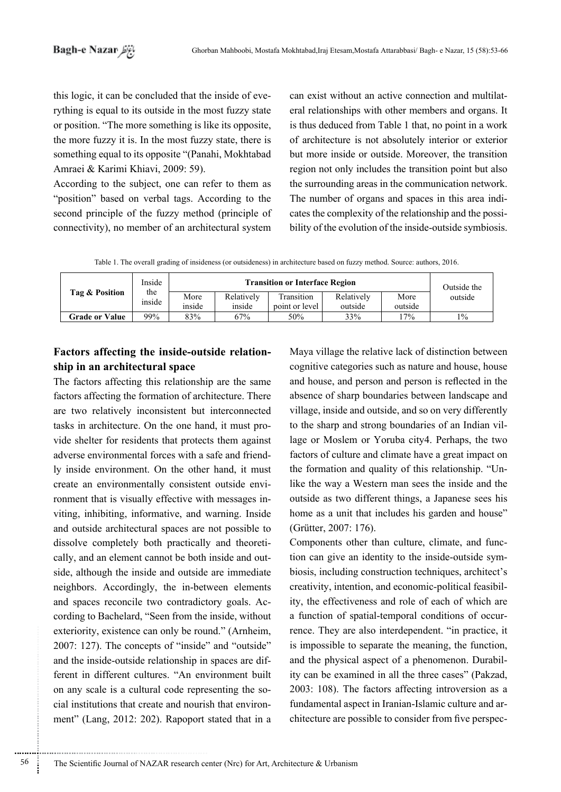rything is equal to its outside in the most fuzzy state this logic, it can be concluded that the inside of eveor position. "The more something is like its opposite, the more fuzzy it is. In the most fuzzy state, there is something equal to its opposite "(Panahi, Mokhtabad Amraei & Karimi Khiavi, 2009: 59).

According to the subject, one can refer to them as "position" based on verbal tags. According to the second principle of the fuzzy method (principle of connectivity), no member of an architectural system

eral relationships with other members and organs. It can exist without an active connection and multilatis thus deduced from Table 1 that, no point in a work of architecture is not absolutely interior or exterior but more inside or outside. Moreover, the transition region not only includes the transition point but also the surrounding areas in the communication network. bility of the evolution of the inside-outside symbiosis. cates the complexity of the relationship and the possi-The number of organs and spaces in this area indi-

Table 1. The overall grading of insideness (or outsideness) in architecture based on fuzzy method. Source: authors, 2016.

|                       | Inside<br>the<br>inside | <b>Transition or Interface Region</b> |                      |                              |                       |                 | Outside the |
|-----------------------|-------------------------|---------------------------------------|----------------------|------------------------------|-----------------------|-----------------|-------------|
| Tag & Position        |                         | More<br>inside                        | Relatively<br>inside | Transition<br>point or level | Relatively<br>outside | More<br>outside | outside     |
| <b>Grade or Value</b> | 99%                     | 83%                                   | 67%                  | 50%                          | 33%                   | 17%             | $1\%$       |

# Factors affecting the inside-outside relation-<br>ship in an architectural space

The factors affecting this relationship are the same factors affecting the formation of architecture. There are two relatively inconsistent but interconnected vide shelter for residents that protects them against tasks in architecture. On the one hand, it must proly inside environment. On the other hand, it must adverse environmental forces with a safe and friendviting, inhibiting, informative, and warning. Inside ronment that is visually effective with messages increate an environmentally consistent outside enviand outside architectural spaces are not possible to side, although the inside and outside are immediate cally, and an element cannot be both inside and outdissolve completely both practically and theoretineighbors. Accordingly, the in-between elements cording to Bachelard, "Seen from the inside, without and spaces reconcile two contradictory goals. Acexteriority, existence can only be round." (Arnheim, 2007: 127). The concepts of "inside" and "outside" ferent in different cultures. "An environment built and the inside-outside relationship in spaces are difment" (Lang, 2012: 202). Rapoport stated that in a cial institutions that create and nourish that environon any scale is a cultural code representing the soMaya village the relative lack of distinction between cognitive categories such as nature and house, house and house, and person and person is reflected in the absence of sharp boundaries between landscape and village, inside and outside, and so on very differently lage or Moslem or Yoruba city 4. Perhaps, the two to the sharp and strong boundaries of an Indian vilfactors of culture and climate have a great impact on like the way a Western man sees the inside and the the formation and quality of this relationship. "Unoutside as two different things, a Japanese sees his home as a unit that includes his garden and house" (Grütter, 2007: 176).

tion can give an identity to the inside-outside symbiosis, including construction techniques, architect's Components other than culture, climate, and function can give an identity to the inside-outside sym-Components other than culture, climate, and funcity, the effectiveness and role of each of which are creativity, intention, and economic-political feasibilrence. They are also interdependent. "in practice, it a function of spatial-temporal conditions of occuris impossible to separate the meaning, the function, ity can be examined in all the three cases" (Pakzad, and the physical aspect of a phenomenon. Durabil- $2003$ : 108). The factors affecting introversion as a chitecture are possible to consider from five perspecfundamental aspect in Iranian-Islamic culture and ar-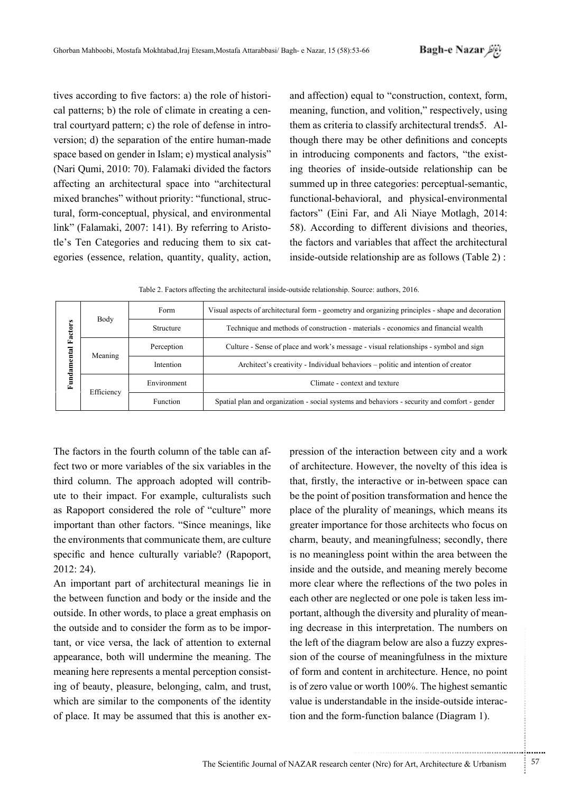tives according to five factors: a) the role of historical patterns; b) the role of climate in creating a central courtyard pattern; c) the role of defense in introversion; d) the separation of the entire human-made space based on gender in Islam; e) mystical analysis" (Nari Qumi, 2010: 70). Falamaki divided the factors affecting an architectural space into "architectural mixed branches" without priority: "functional, structural, form-conceptual, physical, and environmental link" (Falamaki, 2007: 141). By referring to Aristotle's Ten Categories and reducing them to six categories (essence, relation, quantity, quality, action, and affection) equal to "construction, context, form, meaning, function, and volition," respectively, using them as criteria to classify architectural trends5. Although there may be other definitions and concepts in introducing components and factors, "the existing theories of inside-outside relationship can be summed up in three categories: perceptual-semantic, functional-behavioral, and physical-environmental factors" (Eini Far, and Ali Niave Motlagh, 2014: 58). According to different divisions and theories, the factors and variables that affect the architectural inside-outside relationship are as follows (Table 2):

| Table 2. Factors affecting the architectural inside-outside relationship. Source: authors, 2016. |  |  |
|--------------------------------------------------------------------------------------------------|--|--|
|--------------------------------------------------------------------------------------------------|--|--|

| Body<br>Factors<br>Fundamental<br>Meaning<br>Efficiency |           | Form                                                                             | Visual aspects of architectural form - geometry and organizing principles - shape and decoration |  |
|---------------------------------------------------------|-----------|----------------------------------------------------------------------------------|--------------------------------------------------------------------------------------------------|--|
|                                                         |           | Structure                                                                        | Technique and methods of construction - materials - economics and financial wealth               |  |
|                                                         |           | Perception                                                                       | Culture - Sense of place and work's message - visual relationships - symbol and sign             |  |
|                                                         | Intention | Architect's creativity - Individual behaviors – politic and intention of creator |                                                                                                  |  |
|                                                         |           | Environment                                                                      | Climate - context and texture                                                                    |  |
|                                                         |           | Function                                                                         | Spatial plan and organization - social systems and behaviors - security and comfort - gender     |  |

The factors in the fourth column of the table can affect two or more variables of the six variables in the third column. The approach adopted will contribute to their impact. For example, culturalists such as Rapoport considered the role of "culture" more important than other factors. "Since meanings, like the environments that communicate them, are culture specific and hence culturally variable? (Rapoport,  $2012:24$ ).

An important part of architectural meanings lie in the between function and body or the inside and the outside. In other words, to place a great emphasis on the outside and to consider the form as to be important, or vice versa, the lack of attention to external appearance, both will undermine the meaning. The meaning here represents a mental perception consisting of beauty, pleasure, belonging, calm, and trust, which are similar to the components of the identity of place. It may be assumed that this is another expression of the interaction between city and a work of architecture. However, the novelty of this idea is that, firstly, the interactive or in-between space can be the point of position transformation and hence the place of the plurality of meanings, which means its greater importance for those architects who focus on charm, beauty, and meaningfulness; secondly, there is no meaningless point within the area between the inside and the outside, and meaning merely become more clear where the reflections of the two poles in each other are neglected or one pole is taken less important, although the diversity and plurality of meaning decrease in this interpretation. The numbers on the left of the diagram below are also a fuzzy expression of the course of meaningfulness in the mixture of form and content in architecture. Hence, no point is of zero value or worth 100%. The highest semantic value is understandable in the inside-outside interaction and the form-function balance (Diagram 1).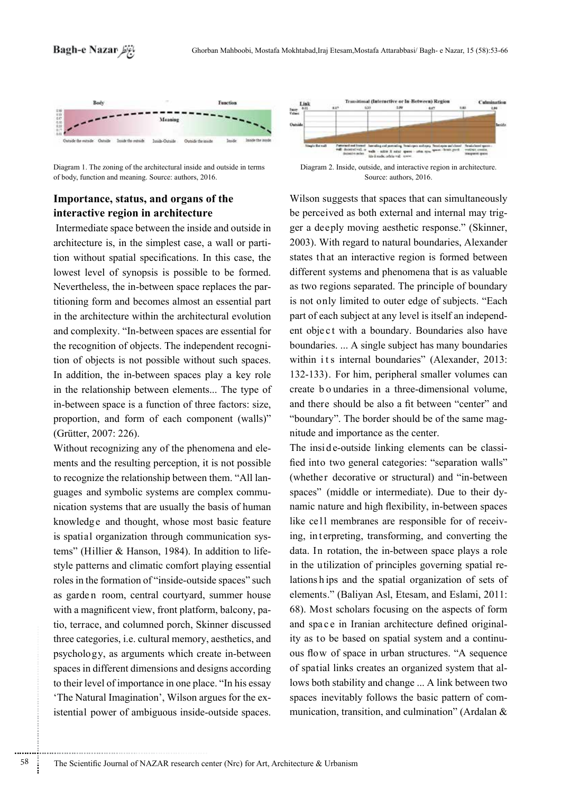

Diagram 1. The zoning of the architectural inside and outside in terms of body, function and meaning. Source: authors, 2016.

# Importance, status, and organs of the interactive region in architecture

Intermediate space between the inside and outside in architecture is, in the simplest case, a wall or partition without spatial specifications. In this case, the lowest level of synopsis is possible to be formed. Nevertheless, the in-between space replaces the partitioning form and becomes almost an essential part in the architecture within the architectural evolution and complexity. "In-between spaces are essential for the recognition of objects. The independent recognition of objects is not possible without such spaces. In addition, the in-between spaces play a key role in the relationship between elements... The type of in-between space is a function of three factors: size, proportion, and form of each component (walls)" (Grütter, 2007: 226).

Without recognizing any of the phenomena and elements and the resulting perception, it is not possible to recognize the relationship between them. "All languages and symbolic systems are complex communication systems that are usually the basis of human knowledge and thought, whose most basic feature is spatial organization through communication systems" (Hillier & Hanson, 1984). In addition to lifestyle patterns and climatic comfort playing essential roles in the formation of "inside-outside spaces" such as garden room, central courtyard, summer house with a magnificent view, front platform, balcony, patio, terrace, and columned porch, Skinner discussed three categories, *i.e.* cultural memory, aesthetics, and psychology, as arguments which create in-between spaces in different dimensions and designs according to their level of importance in one place. "In his essay 'The Natural Imagination', Wilson argues for the existential power of ambiguous inside-outside spaces.



Source: authors, 2016.

Wilson suggests that spaces that can simultaneously be perceived as both external and internal may trigger a deeply moving aesthetic response." (Skinner, 2003). With regard to natural boundaries, Alexander states that an interactive region is formed between different systems and phenomena that is as valuable as two regions separated. The principle of boundary is not only limited to outer edge of subjects. "Each part of each subject at any level is itself an independent object with a boundary. Boundaries also have boundaries... A single subject has many boundaries within its internal boundaries" (Alexander, 2013: 132-133). For him, peripheral smaller volumes can create b o undaries in a three-dimensional volume, and there should be also a fit between "center" and "boundary". The border should be of the same magnitude and importance as the center.

The inside-outside linking elements can be classified into two general categories: "separation walls" (whether decorative or structural) and "in-between spaces" (middle or intermediate). Due to their dynamic nature and high flexibility, in-between spaces like cell membranes are responsible for of receiving, interpreting, transforming, and converting the data. In rotation, the in-between space plays a role in the utilization of principles governing spatial relations hips and the spatial organization of sets of elements." (Baliyan Asl, Etesam, and Eslami, 2011: 68). Most scholars focusing on the aspects of form and space in Iranian architecture defined originality as to be based on spatial system and a continuous flow of space in urban structures. "A sequence of spatial links creates an organized system that allows both stability and change ... A link between two spaces inevitably follows the basic pattern of communication, transition, and culmination" (Ardalan &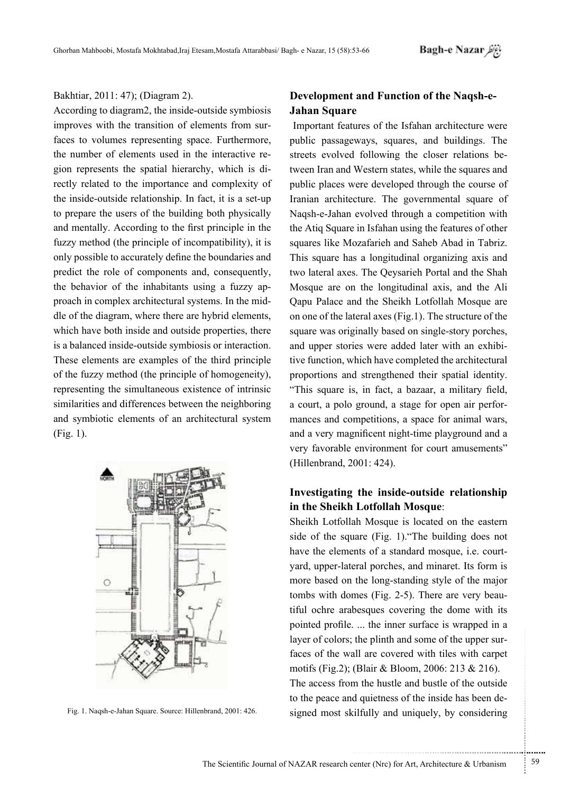### Bakhtiar, 2011: 47); (Diagram 2).

According to diagram 2, the inside-outside symbiosis faces to volumes representing space. Furthermore, improves with the transition of elements from surrectly related to the importance and complexity of gion represents the spatial hierarchy, which is dithe number of elements used in the interactive rethe inside-outside relationship. In fact, it is a set-up to prepare the users of the building both physically and mentally. According to the first principle in the fuzzy method (the principle of incompatibility), it is only possible to accurately define the boundaries and predict the role of components and, consequently, dle of the diagram, where there are hybrid elements, proach in complex architectural systems. In the midthe behavior of the inhabitants using a fuzzy apwhich have both inside and outside properties, there is a balanced inside-outside symbiosis or interaction. These elements are examples of the third principle of the fuzzy method (the principle of homogeneity), representing the simultaneous existence of intrinsic similarities and differences between the neighboring and symbiotic elements of an architectural system  $(Fig. 1)$ .



# Development and Function of the Naqsh-e-<br>Jahan Square

Important features of the Isfahan architecture were public passageways, squares, and buildings. The tween Iran and Western states, while the squares and streets evolved following the closer relations bepublic places were developed through the course of Iranian architecture. The governmental square of Naqsh-e-Jahan evolved through a competition with the Atiq Square in Isfahan using the features of other squares like Mozafarieh and Saheb Abad in Tabriz. This square has a longitudinal organizing axis and two lateral axes. The Qeysarieh Portal and the Shah Mosque are on the longitudinal axis, and the Ali Qapu Palace and the Sheikh Lotfollah Mosque are on one of the lateral axes (Fig. 1). The structure of the square was originally based on single-story porches, tive function, which have completed the architectural and upper stories were added later with an exhibiproportions and strengthened their spatial identity. "This square is, in fact, a bazaar, a military field, a court, a polo ground, a stage for open air perfor-<br>mances and competitions, a space for animal wars, and a very magnificent night-time playground and a very favorable environment for court amusements" (Hillenbrand, 2001: 424).

# **Investigating the inside-outside relationship** in the Sheikh Lotfollah Mosque:

Sheikh Lotfollah Mosque is located on the eastern side of the square (Fig. 1). The building does not yard, upper-lateral porches, and minaret. Its form is have the elements of a standard mosque, i.e. courtmore based on the long-standing style of the major tiful ochre arabesques covering the dome with its tombs with domes (Fig. 2-5). There are very beaupointed profile.... the inner surface is wrapped in a layer of colors; the plinth and some of the upper sur-<br>faces of the wall are covered with tiles with carpet motifs (Fig.2); (Blair & Bloom, 2006: 213 & 216). The access from the hustle and bustle of the outside Fig. 1. Naqsh-e-Jahan Square. Source: Hillenbrand, 2001: 426. signed most skilfully and uniquely, by considering to the peace and quietness of the inside has been de-

.......... ....... ........ ........... ...... ....... ........ .......... ...........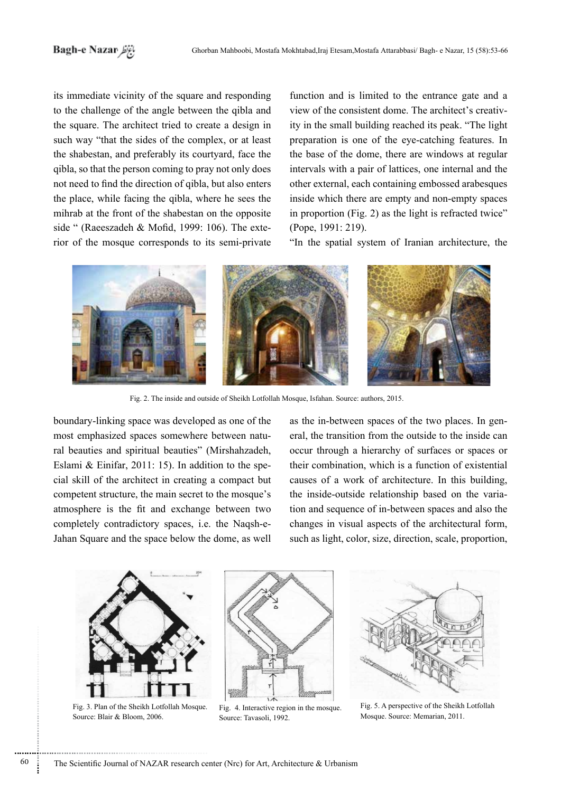# باغرنظر Bagh-e Nazar

its immediate vicinity of the square and responding to the challenge of the angle between the gibla and the square. The architect tried to create a design in such way "that the sides of the complex, or at least the shabestan, and preferably its courtyard, face the qibla, so that the person coming to pray not only does not need to find the direction of qibla, but also enters the place, while facing the qibla, where he sees the mihrab at the front of the shabestan on the opposite rior of the mosque corresponds to its semi-private side " (Raeeszadeh & Mofid, 1999: 106). The extefunction and is limited to the entrance gate and a ity in the small building reached its peak. "The light view of the consistent dome The architect's creativpreparation is one of the eye-catching features. In the base of the dome, there are windows at regular intervals with a pair of lattices, one internal and the other external, each containing embossed arabesques inside which there are empty and non-empty spaces in proportion (Fig. 2) as the light is refracted twice"  $(Pope, 1991: 219)$ .

"In the spatial system of Iranian architecture, the



Fig. 2. The inside and outside of Sheikh Lotfollah Mosque, Isfahan. Source: authors, 2015.

boundary-linking space was developed as one of the ral beauties and spiritual beauties" (Mirshahzadeh, most emphasized spaces somewhere between natucial skill of the architect in creating a compact but Eslami & Einifar, 2011: 15). In addition to the specompetent structure, the main secret to the mosque's atmosphere is the fit and exchange between two completely contradictory spaces, i.e. the Naqsh-e-<br>Jahan Square and the space below the dome, as well as the in-between spaces of the two places. In general, the transition from the outside to the inside can occur through a hierarchy of surfaces or spaces or their combination, which is a function of existential causes of a work of architecture. In this building, tion and sequence of in-between spaces and also the the inside-outside relationship based on the variachanges in visual aspects of the architectural form, such as light, color, size, direction, scale, proportion,



Fig. 3. Plan of the Sheikh Lotfollah Mosque. Source: Blair & Bloom, 2006.



Fig. 4. Interactive region in the mosque. Source: Tavasoli, 1992.



Fig. 5. A perspective of the Sheikh Lotfollah Mosque. Source: Memarian, 2011.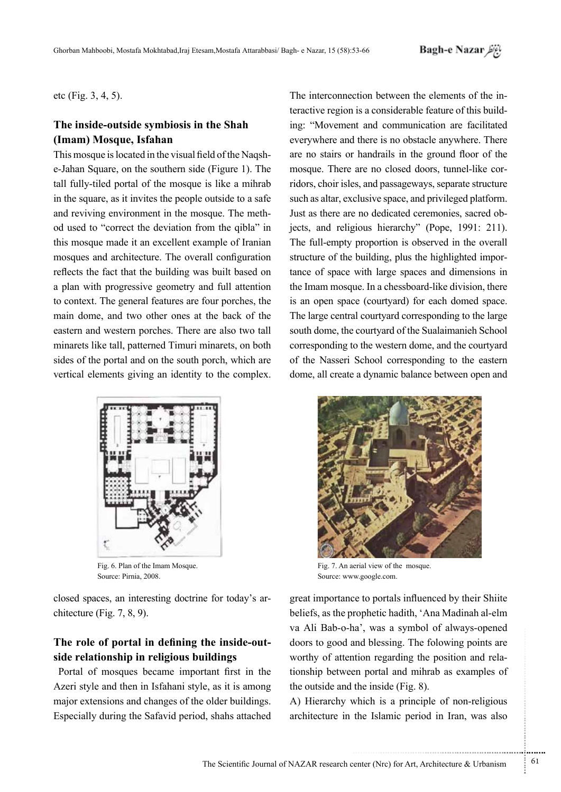etc (Fig.  $3, 4, 5$ ).

## The inside-outside symbiosis in the Shah **(Imam)** Mosque, Isfahan

e-Jahan Square, on the southern side (Figure 1). The This mosque is located in the visual field of the Naqshtall fully-tiled portal of the mosque is like a mihrab in the square, as it invites the people outside to a safe od used to "correct the deviation from the qibla" in and reviving environment in the mosque. The meththis mosque made it an excellent example of Iranian mosques and architecture. The overall configuration reflects the fact that the building was built based on a plan with progressive geometry and full attention to context. The general features are four porches, the main dome, and two other ones at the back of the eastern and western porches. There are also two tall minarets like tall, patterned Timuri minarets, on both sides of the portal and on the south porch, which are vertical elements giving an identity to the complex.



Fig. 6. Plan of the Imam Mosque. Source: Pirnia, 2008.

closed spaces, an interesting doctrine for today's architecture (Fig. 7, 8, 9).

# The role of portal in defining the inside-out-<br>side relationship in religious buildings

Portal of mosques became important first in the Azeri style and then in Isfahani style, as it is among major extensions and changes of the older buildings. Especially during the Safavid period, shahs attached

ing: "Movement and communication are facilitated teractive region is a considerable feature of this build-The interconnection between the elements of the ineverywhere and there is no obstacle anywhere. There are no stairs or handrails in the ground floor of the ridors, choir isles, and passageways, separate structure mosque. There are no closed doors, tunnel-like corsuch as altar, exclusive space, and privileged platform. jects, and religious hierarchy" (Pope, 1991: 211). Just as there are no dedicated ceremonies, sacred ob-The full-empty proportion is observed in the overall tance of space with large spaces and dimensions in structure of the building, plus the highlighted importhe Imam mosque. In a chessboard-like division, there is an open space (courtyard) for each domed space. The large central courtyard corresponding to the large south dome, the courtyard of the Sualaimanieh School corresponding to the western dome, and the courty and of the Nasseri School corresponding to the eastern dome, all create a dynamic balance between open and



Fig. 7. An aerial view of the mosque. Source: www.google.com.

great importance to portals influenced by their Shiite beliefs, as the prophetic hadith, 'Ana Madinah al-elm va Ali Bab-o-ha', was a symbol of always-opened doors to good and blessing. The folowing points are tionship between portal and mihrab as examples of worthy of attention regarding the position and relathe outside and the inside  $(Fig. 8)$ .

A) Hierarchy which is a principle of non-religious architecture in the Islamic period in Iran, was also

.......... ....... ........ ........... ...... ....... ........ .......... ...........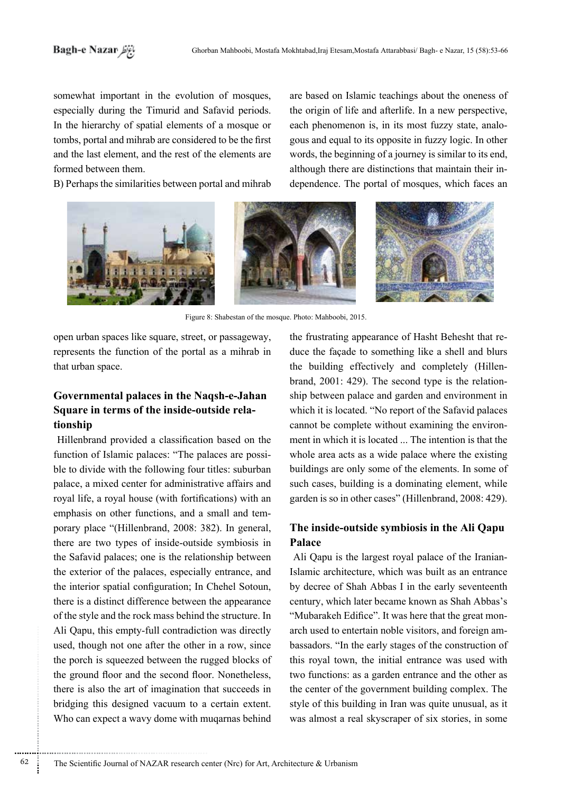somewhat important in the evolution of mosques, especially during the Timurid and Safavid periods. In the hierarchy of spatial elements of a mosque or tombs, portal and mihrab are considered to be the first and the last element, and the rest of the elements are formed between them.

B) Perhaps the similarities between portal and mihrab

are based on Islamic teachings about the oneness of the origin of life and afterlife. In a new perspective, gous and equal to its opposite in fuzzy logic. In other each phenomenon is, in its most fuzzy state, analowords, the beginning of a journey is similar to its end, dependence. The portal of mosques, which faces an although there are distinctions that maintain their in-



Figure 8: Shabestan of the mosque. Photo: Mahboobi, 2015.

open urban spaces like square, street, or passageway, represents the function of the portal as a mihrab in that urban space.

# Governmental palaces in the Naqsh-e-Jahan Square in terms of the inside-outside rela-<br>tionship

Hillenbrand provided a classification based on the ble to divide with the following four titles: suburban function of Islamic palaces: "The palaces are possipalace, a mixed center for administrative affairs and royal life, a royal house (with fortifications) with an porary place "(Hillenbrand, 2008: 382). In general, emphasis on other functions, and a small and temthere are two types of inside-outside symbiosis in the Safavid palaces; one is the relationship between the exterior of the palaces, especially entrance, and the interior spatial configuration; In Chehel Sotoun, there is a distinct difference between the appearance of the style and the rock mass behind the structure. In Ali Qapu, this empty-full contradiction was directly used, though not one after the other in a row, since the porch is squeezed between the rugged blocks of the ground floor and the second floor. Nonetheless, there is also the art of imagination that succeeds in bridging this designed vacuum to a certain extent. Who can expect a wavy dome with mugarnas behind duce the façade to something like a shell and blurs the frustrating appearance of Hasht Behesht that reship between palace and garden and environment in brand,  $2001: 429$ ). The second type is the relationthe building effectively and completely (Hillenwhich it is located. "No report of the Safavid palaces". the the that is intention is that the ment in which it is located ... The intention is that the cannot be complete without examining the environwhole area acts as a wide palace where the existing buildings are only some of the elements. In some of such cases, building is a dominating element, while garden is so in other cases" (Hillenbrand, 2008: 429).

# The inside-outside symbiosis in the Ali Qapu **Palace**

Ali Qapu is the largest royal palace of the Iranian-Islamic architecture, which was built as an entrance by decree of Shah Abbas I in the early seventeenth century, which later became known as Shah Abbas's bassadors. "In the early stages of the construction of arch used to entertain noble visitors, and foreign am-"Mubarakeh Edifice". It was here that the great monthis royal town, the initial entrance was used with two functions: as a garden entrance and the other as the center of the government building complex. The style of this building in Iran was quite unusual, as it was almost a real skyscraper of six stories, in some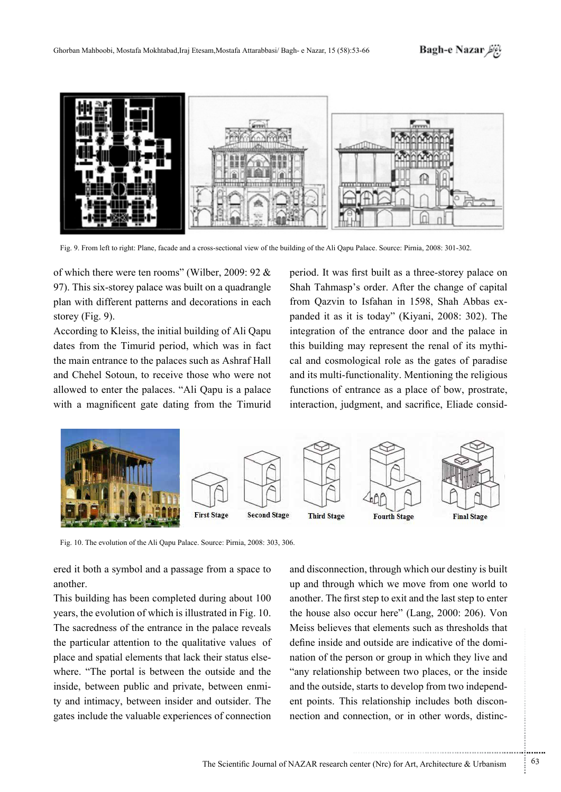

of which there were ten rooms" (Wilber, 2009: 92  $\&$ 97). This six-storey palace was built on a quadrangle plan with different patterns and decorations in each storey (Fig. 9).

According to Kleiss, the initial building of Ali Qapu dates from the Timurid period, which was in fact the main entrance to the palaces such as Ashraf Hall and Chehel Sotoun, to receive those who were not allowed to enter the palaces. "Ali Qapu is a palace with a magnificent gate dating from the Timurid

period. It was first built as a three-storey palace on Shah Tahmasp's order. After the change of capital panded it as it is today" (Kiyani, 2008: 302). The from Qazvin to Isfahan in 1598, Shah Abbas exintegration of the entrance door and the palace in cal and cosmological role as the gates of paradise this building may represent the renal of its mythiand its multi-functionality. Mentioning the religious functions of entrance as a place of bow, prostrate, Fig. 9. From left to right: Plane, facade and a cross-sectional view of the building of the Ali Qapu Palace. Source: Pirnia, 2008: 301-302.<br>
This six-storey palace was built on a quadrangle Shah Tahmasp's order. After the interaction, judgment, and sacrifice, Eliade consid-



Fig. 10. The evolution of the Ali Qapu Palace. Source: Pirnia, 2008: 303, 306.

ered it both a symbol and a passage from a space to .another

This building has been completed during about 100 vears, the evolution of which is illustrated in Fig. 10. The sacredness of the entrance in the palace reveals the particular attention to the qualitative values of where. "The portal is between the outside and the place and spatial elements that lack their status elsety and intimacy, between insider and outsider. The inside, between public and private, between enmigates include the valuable experiences of connection

and disconnection, through which our destiny is built up and through which we move from one world to another. The first step to exit and the last step to enter the house also occur here" (Lang, 2000: 206). Von Meiss believes that elements such as thresholds that nation of the person or group in which they live and define inside and outside are indicative of the domi-"any relationship between two places, or the inside nection and connection, or in other words, distincent points. This relationship includes both disconand the outside, starts to develop from two independ-

.......... ....... ........ ........... ...... ....... ........ .......... ...........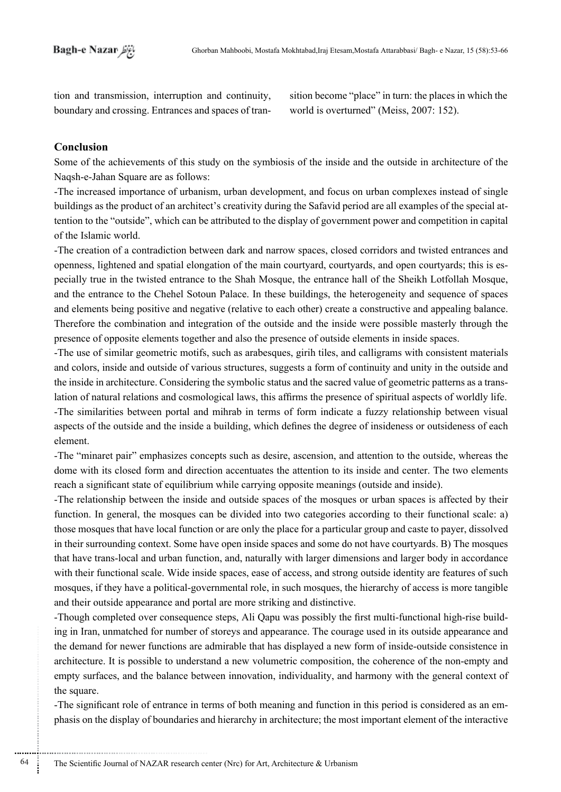tion and transmission, interruption and continuity, boundary and crossing. Entrances and spaces of transition become "place" in turn: the places in which the world is overturned" (Meiss,  $2007: 152$ ).

### **Conclusion**

............................................................

Some of the achievements of this study on the symbiosis of the inside and the outside in architecture of the Naqsh-e-Jahan Square are as follows:

-The increased importance of urbanism, urban development, and focus on urban complexes instead of single tention to the "outside", which can be attributed to the display of government power and competition in capital buildings as the product of an architect's creativity during the Safavid period are all examples of the special atof the Islamic world

-The creation of a contradiction between dark and narrow spaces, closed corridors and twisted entrances and pecially true in the twisted entrance to the Shah Mosque, the entrance hall of the Sheikh Lotfollah Mosque, openness, lightened and spatial elongation of the main courtyard, courtyards, and open courtyards; this is esand the entrance to the Chehel Sotoun Palace. In these buildings, the heterogeneity and sequence of spaces and elements being positive and negative (relative to each other) create a constructive and appealing balance. Therefore the combination and integration of the outside and the inside were possible masterly through the presence of opposite elements together and also the presence of outside elements in inside spaces.

-The use of similar geometric motifs, such as arabesques, girih tiles, and calligrams with consistent materials and colors, inside and outside of various structures, suggests a form of continuity and unity in the outside and lation of natural relations and cosmological laws, this affirms the presence of spiritual aspects of worldly life. the inside in architecture. Considering the symbolic status and the sacred value of geometric patterns as a trans--The similarities between portal and mihrab in terms of form indicate a fuzzy relationship between visual aspects of the outside and the inside a building, which defines the degree of insideness or outsideness of each .element

The "minaret pair" emphasizes concepts such as desire, ascension, and attention to the outside, whereas the dome with its closed form and direction accentuates the attention to its inside and center. The two elements reach a significant state of equilibrium while carrying opposite meanings (outside and inside).

-The relationship between the inside and outside spaces of the mosques or urban spaces is affected by their function. In general, the mosques can be divided into two categories according to their functional scale: a) those mosques that have local function or are only the place for a particular group and caste to payer, dissolved in their surrounding context. Some have open inside spaces and some do not have courtyards. B) The mosques that have trans-local and urban function, and, naturally with larger dimensions and larger body in accordance with their functional scale. Wide inside spaces, ease of access, and strong outside identity are features of such mosques, if they have a political-governmental role, in such mosques, the hierarchy of access is more tangible and their outside appearance and portal are more striking and distinctive.

ing in Iran, unmatched for number of storeys and appearance. The courage used in its outside appearance and -Though completed over consequence steps. Ali Oapu was possibly the first multi-functional high-rise buildthe demand for newer functions are admirable that has displayed a new form of inside-outside consistence in architecture. It is possible to understand a new volumetric composition, the coherence of the non-empty and empty surfaces, and the balance between innovation, individuality, and harmony with the general context of the square.

phasis on the display of boundaries and hierarchy in architecture; the most important element of the interactive -The significant role of entrance in terms of both meaning and function in this period is considered as an em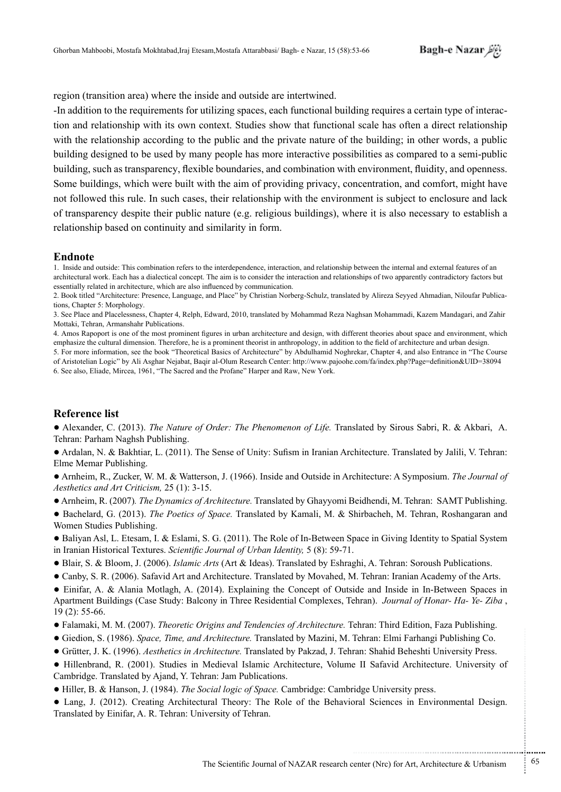region (transition area) where the inside and outside are intertwined.

tion and relationship with its own context. Studies show that functional scale has often a direct relationship -In addition to the requirements for utilizing spaces, each functional building requires a certain type of interacwith the relationship according to the public and the private nature of the building; in other words, a public building designed to be used by many people has more interactive possibilities as compared to a semi-public building, such as transparency, flexible boundaries, and combination with environment, fluidity, and openness. Some buildings, which were built with the aim of providing privacy, concentration, and comfort, might have not followed this rule. In such cases, their relationship with the environment is subject to enclosure and lack of transparency despite their public nature (e.g. religious buildings), where it is also necessary to establish a relationship based on continuity and similarity in form.

#### **Endnote**

1. Inside and outside: This combination refers to the interdependence, interaction, and relationship between the internal and external features of an architectural work. Each has a dialectical concept. The aim is to consider the interaction and relationships of two apparently contradictory factors but essentially related in architecture, which are also influenced by communication.

3. See Place and Placelessness, Chapter 4, Relph, Edward, 2010, translated by Mohammad Reza Naghsan Mohammadi, Kazem Mandagari, and Zahir Mottaki, Tehran, Armanshahr Publications.

4. Amos Rapoport is one of the most prominent figures in urban architecture and design, with different theories about space and environment, which emphasize the cultural dimension. Therefore, he is a prominent theorist in anthropology, in addition to the field of architecture and urban design.

5. For more information, see the book "Theoretical Basics of Architecture" by Abdulhamid Noghrekar, Chapter 4, and also Entrance in "The Course of Aristotelian Logic" by Ali Asghar Nejabat, Baqir al-Olum Research Center: http://www.pajoohe.com/fa/index.php?Page=definition&UID=38094 6. See also, Eliade, Mircea, 1961, "The Sacred and the Profane" Harper and Raw, New York.

#### **Reference** list

■ Alexander, C. (2013). *The Nature of Order: The Phenomenon of Life*. Translated by Sirous Sabri, R. & Akbari, A. Tehran: Parham Naghsh Publishing.

• Ardalan, N. & Bakhtiar, L. (2011). The Sense of Unity: Sufism in Iranian Architecture. Translated by Jalili, V. Tehran: Elme Memar Publishing.

● Arnheim, R., Zucker, W. M. & Watterson, J. (1966). Inside and Outside in Architecture: A Symposium. *The Journal of* Aesthetics and Art Criticism, 25 (1): 3-15.

• Arnheim, R. (2007). *The Dynamics of Architecture*. Translated by Ghayyomi Beidhendi, M. Tehran: SAMT Publishing.

• Bachelard, G. (2013). *The Poetics of Space*. Translated by Kamali, M. & Shirbacheh, M. Tehran, Roshangaran and Women Studies Publishing.

● Baliyan Asl, L. Etesam, I. & Eslami, S. G. (2011). The Role of In-Between Space in Giving Identity to Spatial System in Iranian Historical Textures. Scientific Journal of Urban Identity, 5 (8): 59-71.

• Blair, S. & Bloom, J. (2006). *Islamic Arts* (Art & Ideas). Translated by Eshraghi, A. Tehran: Soroush Publications.

● Canby, S. R. (2006). Safavid Art and Architecture. Translated by Movahed, M. Tehran: Iranian Academy of the Arts.

• Einifar, A. & Alania Motlagh, A. (2014). Explaining the Concept of Outside and Inside in In-Between Spaces in Apartment Buildings (Case Study: Balcony in Three Residential Complexes, Tehran). Journal of Honar- Ha-Ye-Ziba,  $19(2)$ : 55-66.

- Falamaki, M. M. (2007). *Theoretic Origins and Tendencies of Architecture*. Tehran: Third Edition, Faza Publishing.
- Giedion, S. (1986). *Space, Time, and Architecture*. Translated by Mazini, M. Tehran: Elmi Farhangi Publishing Co.
- Grütter, J. K. (1996). *Aesthetics in Architecture*. Translated by Pakzad, J. Tehran: Shahid Beheshti University Press.
- Hillenbrand, R. (2001). Studies in Medieval Islamic Architecture, Volume II Safavid Architecture. University of Cambridge. Translated by Ajand, Y. Tehran: Jam Publications.
- $●$  Hiller, B. & Hanson, J. (1984). *The Social logic of Space*. Cambridge: Cambridge University press.
- Lang, J. (2012). Creating Architectural Theory: The Role of the Behavioral Sciences in Environmental Design. Translated by Einifar, A. R. Tehran: University of Tehran.

...........................................................

.......... ....... ........ ........... ...... ....... ........ .......... ...........

<sup>2.</sup> Book titled "Architecture: Presence, Language, and Place" by Christian Norberg-Schulz, translated by Alireza Seyyed Ahmadian, Niloufar Publica-<br>tions, Chapter 5: Morphology.